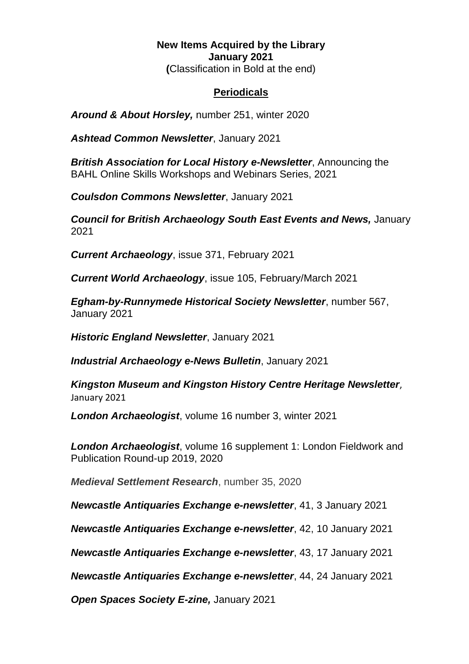## **New Items Acquired by the Library January 2021 (**Classification in Bold at the end)

## **Periodicals**

*Around & About Horsley,* number 251, winter 2020

*Ashtead Common Newsletter*, January 2021

*British Association for Local History e-Newsletter*, Announcing the BAHL Online Skills Workshops and Webinars Series, 2021

*Coulsdon Commons Newsletter*, January 2021

**Council for British Archaeology South East Events and News, January** 2021

*Current Archaeology*, issue 371, February 2021

*Current World Archaeology*, issue 105, February/March 2021

*Egham-by-Runnymede Historical Society Newsletter*, number 567, January 2021

*Historic England Newsletter*, January 2021

*Industrial Archaeology e-News Bulletin*, January 2021

*Kingston Museum and Kingston History Centre Heritage Newsletter*, January 2021

*London Archaeologist*, volume 16 number 3, winter 2021

*London Archaeologist*, volume 16 supplement 1: London Fieldwork and Publication Round-up 2019, 2020

*Medieval Settlement Research*, number 35, 2020

*Newcastle Antiquaries Exchange e-newsletter*, 41, 3 January 2021

*Newcastle Antiquaries Exchange e-newsletter*, 42, 10 January 2021

*Newcastle Antiquaries Exchange e-newsletter*, 43, 17 January 2021

*Newcastle Antiquaries Exchange e-newsletter*, 44, 24 January 2021

*Open Spaces Society E-zine,* January 2021